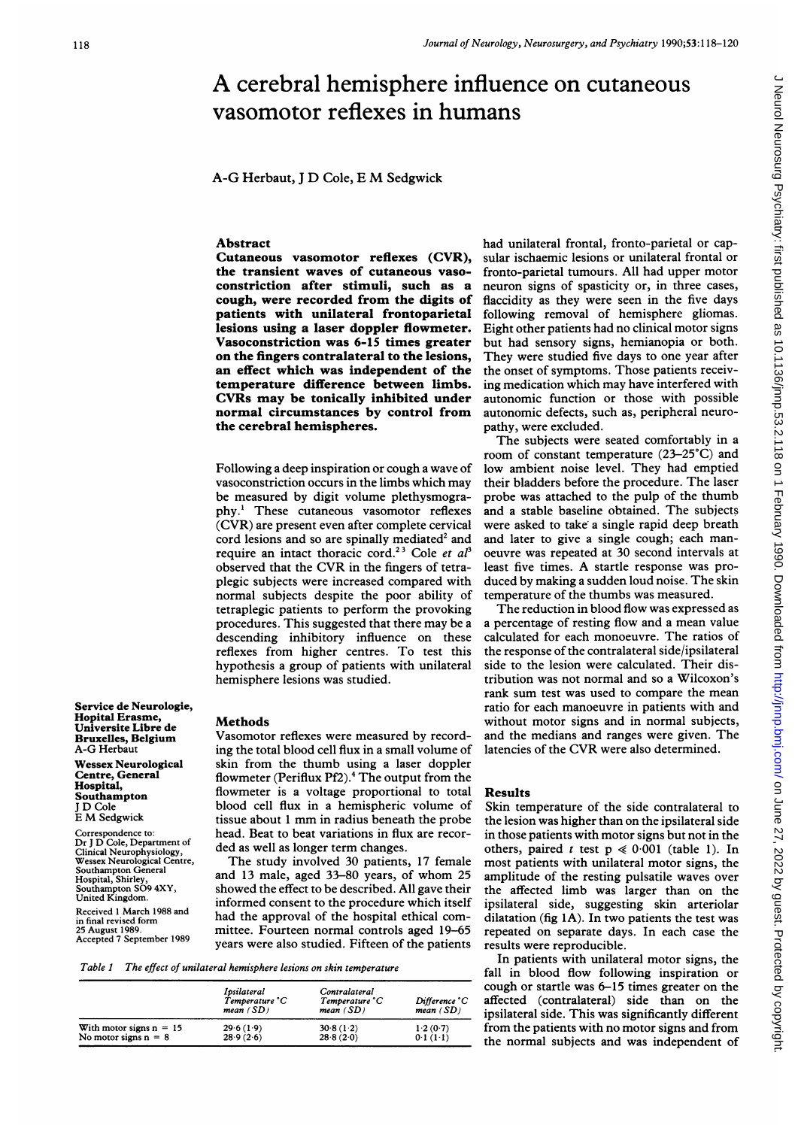# A cerebral hemisphere influence on cutaneous vasomotor reflexes in humans

A-G Herbaut, <sup>J</sup> D Cole, <sup>E</sup> M Sedgwick

# Abstract

Cutaneous vasomotor reflexes (CVR), the transient waves of cutaneous vasoconstriction after stimuli, such as a cough, were recorded from the digits of patients with unilateral frontoparietal lesions using a laser doppler flowmeter. Vasoconstriction was 6-15 times greater on the fingers contralateral to the lesions, an effect which was independent of the temperature difference between limbs. CVRs may be tonically inhibited under normal circumstances by control from the cerebral hemispheres.

Following a deep inspiration or cough a wave of vasoconstriction occurs in the limbs which may be measured by digit volume plethysmography.' These cutaneous vasomotor reflexes (CVR) are present even after complete cervical cord lesions and so are spinally mediated<sup>2</sup> and require an intact thoracic cord.<sup>23</sup> Cole et  $a<sup>3</sup>$ observed that the CVR in the fingers of tetraplegic subjects were increased compared with normal subjects despite the poor ability of tetraplegic patients to perform the provoking procedures. This suggested that there may be <sup>a</sup> descending inhibitory influence on these reflexes from higher centres. To test this hypothesis a group of patients with unilateral hemisphere lesions was studied.

Service de Neurologie, Hopital Erasme, Universite Libre de Bruxelles, Belgium A-G Herbaut

Wessex Neurological Centre, General Hospital, Southampton <sup>J</sup> D Cole <sup>E</sup> M Sedgwick

Correspondence to: Dr <sup>J</sup> D Cole, Department of Clinical Neurophysiology, Wessex Neurological Centre, Southampton General Hospital, Shirley, Southampton S09 4XY, United Kingdom. Received <sup>1</sup> March 1988 and

in final revised form 25 August 1989. Accepted 7 September 1989

## Methods

Vasomotor reflexes were measured by recording the total blood cell flux in a small volume of skin from the thumb using a laser doppler flowmeter (Periflux Pf2).4 The output from the flowmeter is a voltage proportional to total blood cell flux in a hemispheric volume of tissue about <sup>1</sup> mm in radius beneath the probe head. Beat to beat variations in flux are recorded as well as longer term changes.

The study involved 30 patients, 17 female and <sup>13</sup> male, aged 33-80 years, of whom 25 showed the effect to be described. All gave their informed consent to the procedure which itself had the approval of the hospital ethical committee. Fourteen normal controls aged 19-65 years were also studied. Fifteen of the patients

Table I The effect of unilateral hemisphere lesions on skin temperature

|                           | <i>Ipsilateral</i><br>Temperature °C<br>mean $(SD)$ | Contralateral<br>Temperature °C<br>mean $(SD)$ | Difference °C<br>mean $(SD)$ |
|---------------------------|-----------------------------------------------------|------------------------------------------------|------------------------------|
| With motor signs $n = 15$ | 296(19)                                             | 30.8(1.2)                                      | 1.2(0.7)                     |
| No motor signs $n = 8$    | 28.9(2.6)                                           | 28.8(2.0)                                      | 0.1(1.1)                     |

had unilateral frontal, fronto-parietal or capsular ischaemic lesions or unilateral frontal or fronto-parietal tumours. All had upper motor neuron signs of spasticity or, in three cases, flaccidity as they were seen in the five days following removal of hemisphere gliomas. Eight other patients had no clinical motor signs but had sensory signs, hemianopia or both. They were studied five days to one year after the onset of symptoms. Those patients receiving medication which may have interfered with autonomic function or those with possible autonomic defects, such as, peripheral neuropathy, were excluded.

The subjects were seated comfortably in <sup>a</sup> room of constant temperature (23-25°C) and low ambient noise level. They had emptied their bladders before the procedure. The laser probe was attached to the pulp of the thumb and <sup>a</sup> stable baseline obtained. The subjects were asked to take a single rapid deep breath and later to give a single cough; each manoeuvre was repeated at 30 second intervals at least five times. A startle response was produced by making <sup>a</sup> sudden loud noise. The skin temperature of the thumbs was measured.

The reduction in blood flow was expressed as <sup>a</sup> percentage of resting flow and <sup>a</sup> mean value calculated for each monoeuvre. The ratios of the response of the contralateral side/ipsilateral side to the lesion were calculated. Their distribution was not normal and so a Wilcoxon's rank sum test was used to compare the mean ratio for each manoeuvre in patients with and without motor signs and in normal subjects, and the medians and ranges were given. The latencies of the CVR were also determined.

# Results

Skin temperature of the side contralateral to the lesion was higher than on the ipsilateral side in those patients with motor signs but not in the others, paired t test  $p \ll 0.001$  (table 1). In most patients with unilateral motor signs, the amplitude of the resting pulsatile waves over the affected limb was larger than on the ipsilateral side, suggesting skin arteriolar dilatation (fig LA). In two patients the test was repeated on separate days. In each case the results were reproducible.

In patients with unilateral motor signs, the fall in blood flow following inspiration or cough or startle was 6-15 times greater on the affected (contralateral) side than on the ipsilateral side. This was significantly different from the patients with no motor signs and from the normal subjects and was independent of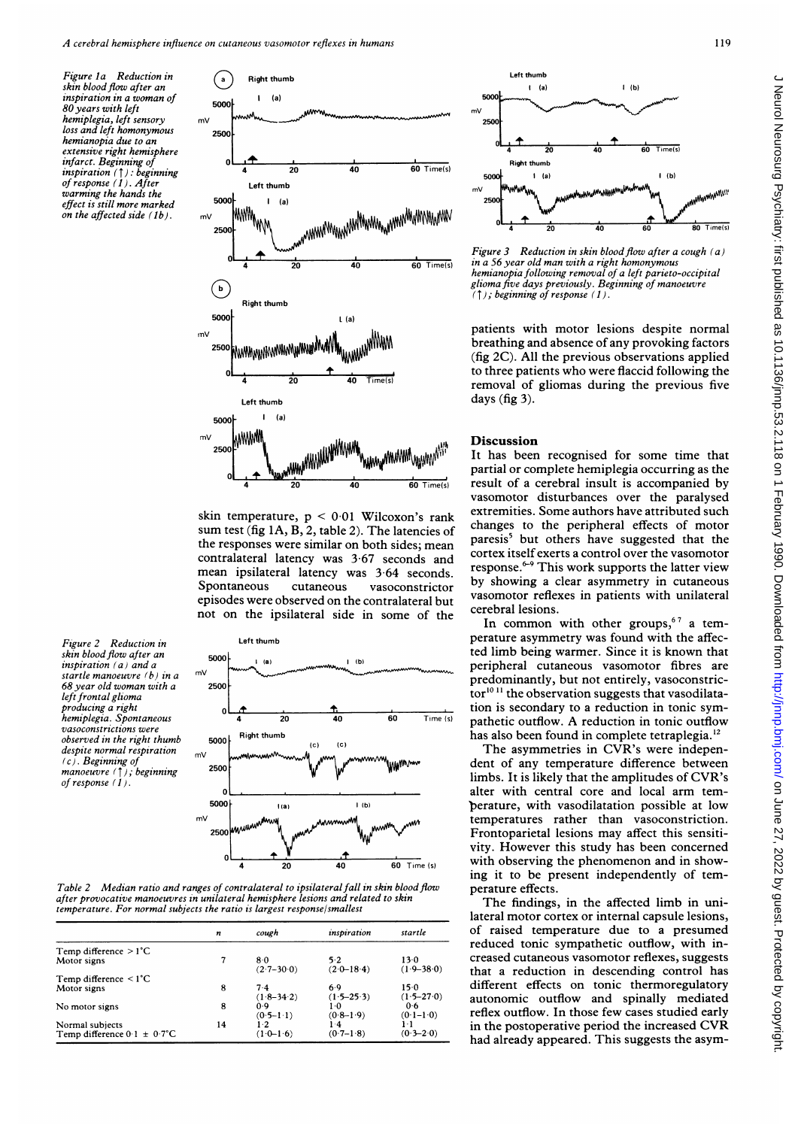$(a)$  Right thumb

Figure la Reduction in skin blood flow after an Inspiration in <sup>a</sup> woman of 80 years with left hemiplegia, left sensory loss and left homonymous hemianopia due to an extensive right hemisphere infarct. Beginning of inspiration (T): beginning of response (1). After warming the hands the effect is still more marked on the affected side  $(1b)$ .



the responses were similar on both sides; mean Spontaneous not on the ipsilateral side in some of the cerebral lesions.

Figure 2 Reduction in skin blood flow after an inspiration (a) and a startle manoeuvre (b) in a 68 year old woman with <sup>a</sup> left frontal glioma producing a right hemiplegia. Spontaneous vasoconstrictions were observed in the right thumb despite normal respiration (c). Beginning of manoeuvre  $(†)$ ; beginning of response (1).



Table 2 Median ratio and ranges of contralateral to ipsilateral fall in skin blood flow perature effects. after provocative manoeuvres in unilateral hemisphere lesions and related to skin The findings. temperature. For normal subjects the ratio is largest response/smallest

|                                         | n  | cough          | inspiration    | startle        |
|-----------------------------------------|----|----------------|----------------|----------------|
|                                         |    |                |                |                |
| Temp difference $>1^{\circ}C$           |    |                |                |                |
| Motor signs                             | 7  | $8-0$          | 5.2            | 13.0           |
|                                         |    | $(2.7 - 30.0)$ | $(2.0 - 18.4)$ | $(1.9 - 38.0)$ |
| Temp difference $\leq 1^{\circ}C$       |    |                |                |                |
| Motor signs                             | 8  | $7-4$          | 6.9            | 15.0           |
|                                         |    | $(1.8 - 34.2)$ | $(1.5 - 25.3)$ | $(1.5 - 27.0)$ |
| No motor signs                          | 8  | 0.9            | 1.0            | 0.6            |
|                                         |    |                | $(0.8-1.9)$    | $(0.1 - 1.0)$  |
|                                         |    | $(0.5 - 1.1)$  |                |                |
| Normal subjects                         | 14 | $1-2$          | ۱۰4            | ŀ١             |
| Temp difference $0.1 \pm 0.7^{\circ}$ C |    | $(1.0 - 1.6)$  | $(0.7-1.8)$    | $(0.3 - 2.0)$  |



Figure 3 Reduction in skin blood flow after a cough (a) in a 56 year old man with a right homonymous 20 40 60 Time(s) in a 56 year old man with a right homonymous<br>hemianopia following removal of a left parieto-occipital glioma five days previously. Beginning of manoeuvre  $(1)$ ; beginning of response (1).

patients with motor lesions despite normal breathing and absence of any provoking factors (fig 2C). All the previous observations applied to three patients who were flaccid following the removal of gliomas during the previous five days (fig 3).

skin temperature,  $p \le 0.01$  Wilcoxon's rank extremities. Some authors have attributed such sum test (fig  $1A, B, 2$ , table 2). The latencies of changes to the peripheral effects of motor  $contralateral$  latency was  $3.67$  seconds and cortex used exerts a control over the vasomotor mean ipsilateral latency was  $3.64$  seconds. This work supports the latter view episodes were observed on the contralateral but vasomotor reflexes in patients with unilateral partial or complete hemiplegia occurring as the  $\frac{1}{20}$  40  $\frac{1}{60 \text{ Time(s)}}$  result of a cerebral insult is accompanied by vasomotor disturbances over the paralysed paresis<sup>5</sup> but others have suggested that the cortex itself exerts a control over the vasomotor ntaneous vasoconstrictor by showing a clear asymmetry in cutaneous<br>cutaneous vasoconstrictor vasomotor reflexes in patients with unilateral

In common with other groups, $67$  a tem-Left thumb **perature asymmetry was found with the affec**ted limb being warmer. Since it is known that peripheral cutaneous vasomotor fibres are predominantly, but not entirely, vasoconstric- $\frac{\text{tor}}{\text{10}}$  the observation suggests that vasodilatation is secondary to a reduction in tonic sym-Exercise the contribution of the contribution in total distribution of the state of the condation is secondary to a reduction in tonic sym-<br>
Fight thumb and ton is secondary to a reduction in tonic sym-<br>
Fight thumb bas a  $20$  40 60  $T_{\text{ime (s)}}$  pathetic outflow. A reduction in tonic outflow

The asymmetries in CVR's were independent of any temperature difference between limbs. It is likely that the amplitudes of CVR's <sup>o</sup> . alter with central core and local arm tem-<sup>30</sup> (a) (b) perature, with vasodilatation possible at low temperatures rather than vasoconstriction. W Express Frontoparietal lesions may affect this sensiti- $\frac{1}{20}$  vity. However this study has been concerned<br>  $\frac{1}{20}$  40  $\frac{1}{60}$  Time (s) with observing the phenomenon and in show- $\frac{1}{20}$   $\frac{1}{20}$   $\frac{1}{20}$   $\frac{1}{20}$   $\frac{1}{20}$   $\frac{1}{20}$  with observing the phenomenon and in showing it to be present independently of tem-

> The findings, in the affected limb in unilateral motor cortex or internal capsule lesions, of raised temperature due to a presumed reduced tonic sympathetic outflow, with increased cutaneous vasomotor reflexes, suggests that a reduction in descending control has different effects on tonic thermoregulatory autonomic outflow and spinally mediated reflex outflow. In those few cases studied early in the postoperative period the increased CVR had already appeared. This suggests the asym-